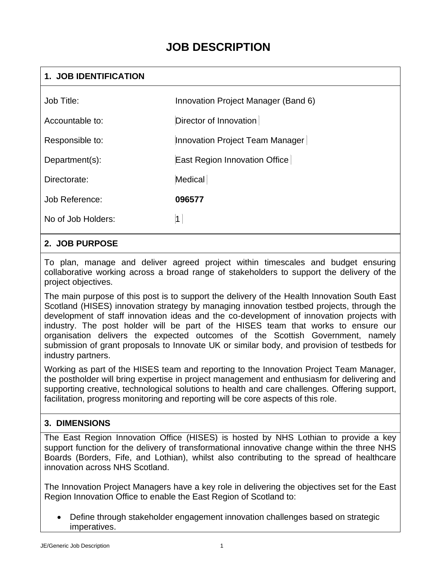# **JOB DESCRIPTION**

### **1. JOB IDENTIFICATION**

| Job Title:         | Innovation Project Manager (Band 6) |
|--------------------|-------------------------------------|
| Accountable to:    | Director of Innovation              |
| Responsible to:    | Innovation Project Team Manager     |
| Department(s):     | East Region Innovation Office       |
| Directorate:       | Medical                             |
| Job Reference:     | 096577                              |
| No of Job Holders: | $\mathbf 1$                         |
|                    |                                     |

#### **2. JOB PURPOSE**

To plan, manage and deliver agreed project within timescales and budget ensuring collaborative working across a broad range of stakeholders to support the delivery of the project objectives.

The main purpose of this post is to support the delivery of the Health Innovation South East Scotland (HISES) innovation strategy by managing innovation testbed projects, through the development of staff innovation ideas and the co-development of innovation projects with industry. The post holder will be part of the HISES team that works to ensure our organisation delivers the expected outcomes of the Scottish Government, namely submission of grant proposals to Innovate UK or similar body, and provision of testbeds for industry partners.

Working as part of the HISES team and reporting to the Innovation Project Team Manager, the postholder will bring expertise in project management and enthusiasm for delivering and supporting creative, technological solutions to health and care challenges. Offering support, facilitation, progress monitoring and reporting will be core aspects of this role.

### **3. DIMENSIONS**

The East Region Innovation Office (HISES) is hosted by NHS Lothian to provide a key support function for the delivery of transformational innovative change within the three NHS Boards (Borders, Fife, and Lothian), whilst also contributing to the spread of healthcare innovation across NHS Scotland.

The Innovation Project Managers have a key role in delivering the objectives set for the East Region Innovation Office to enable the East Region of Scotland to:

• Define through stakeholder engagement innovation challenges based on strategic imperatives.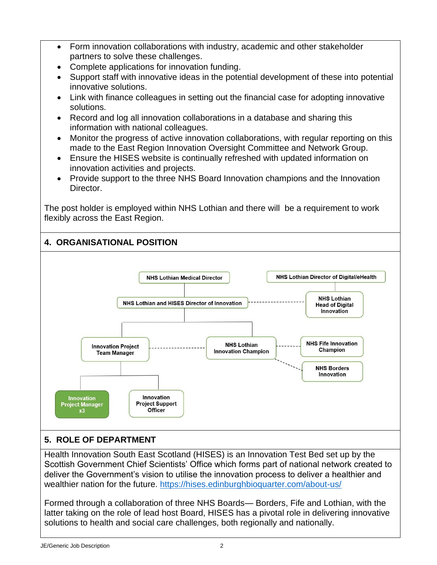- Form innovation collaborations with industry, academic and other stakeholder partners to solve these challenges.
- Complete applications for innovation funding.
- Support staff with innovative ideas in the potential development of these into potential innovative solutions.
- Link with finance colleagues in setting out the financial case for adopting innovative solutions.
- Record and log all innovation collaborations in a database and sharing this information with national colleagues.
- Monitor the progress of active innovation collaborations, with regular reporting on this made to the East Region Innovation Oversight Committee and Network Group.
- Ensure the HISES website is continually refreshed with updated information on innovation activities and projects.
- Provide support to the three NHS Board Innovation champions and the Innovation Director.

The post holder is employed within NHS Lothian and there will be a requirement to work flexibly across the East Region.

# **4. ORGANISATIONAL POSITION**



# **5. ROLE OF DEPARTMENT**

Health Innovation South East Scotland (HISES) is an Innovation Test Bed set up by the Scottish Government Chief Scientists' Office which forms part of national network created to deliver the Government's vision to utilise the innovation process to deliver a healthier and wealthier nation for the future. [https://hises.edinburghbioquarter.com/about-us/](http://#)

Formed through a collaboration of three NHS Boards— Borders, Fife and Lothian, with the latter taking on the role of lead host Board, HISES has a pivotal role in delivering innovative solutions to health and social care challenges, both regionally and nationally.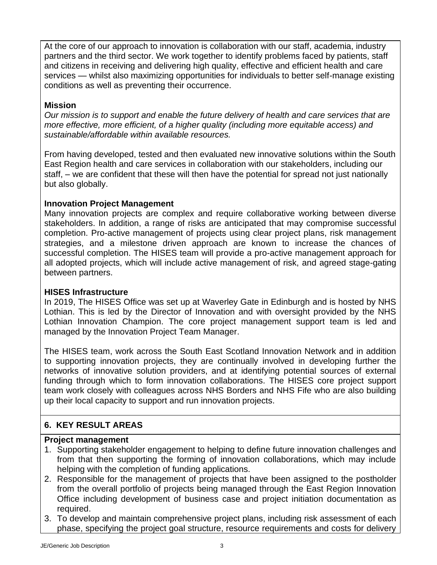At the core of our approach to innovation is collaboration with our staff, academia, industry partners and the third sector. We work together to identify problems faced by patients, staff and citizens in receiving and delivering high quality, effective and efficient health and care services — whilst also maximizing opportunities for individuals to better self-manage existing conditions as well as preventing their occurrence.

### **Mission**

*Our mission is to support and enable the future delivery of health and care services that are more effective, more efficient, of a higher quality (including more equitable access) and sustainable/affordable within available resources.*

From having developed, tested and then evaluated new innovative solutions within the South East Region health and care services in collaboration with our stakeholders, including our staff, – we are confident that these will then have the potential for spread not just nationally but also globally.

#### **Innovation Project Management**

Many innovation projects are complex and require collaborative working between diverse stakeholders. In addition, a range of risks are anticipated that may compromise successful completion. Pro-active management of projects using clear project plans, risk management strategies, and a milestone driven approach are known to increase the chances of successful completion. The HISES team will provide a pro-active management approach for all adopted projects, which will include active management of risk, and agreed stage-gating between partners.

#### **HISES Infrastructure**

In 2019, The HISES Office was set up at Waverley Gate in Edinburgh and is hosted by NHS Lothian. This is led by the Director of Innovation and with oversight provided by the NHS Lothian Innovation Champion. The core project management support team is led and managed by the Innovation Project Team Manager.

The HISES team, work across the South East Scotland Innovation Network and in addition to supporting innovation projects, they are continually involved in developing further the networks of innovative solution providers, and at identifying potential sources of external funding through which to form innovation collaborations. The HISES core project support team work closely with colleagues across NHS Borders and NHS Fife who are also building up their local capacity to support and run innovation projects.

# **6. KEY RESULT AREAS**

#### **Project management**

- 1. Supporting stakeholder engagement to helping to define future innovation challenges and from that then supporting the forming of innovation collaborations, which may include helping with the completion of funding applications.
- 2. Responsible for the management of projects that have been assigned to the postholder from the overall portfolio of projects being managed through the East Region Innovation Office including development of business case and project initiation documentation as required.
- 3. To develop and maintain comprehensive project plans, including risk assessment of each phase, specifying the project goal structure, resource requirements and costs for delivery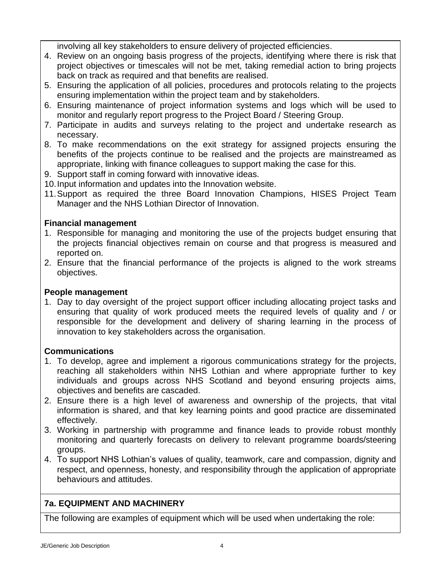involving all key stakeholders to ensure delivery of projected efficiencies.

- 4. Review on an ongoing basis progress of the projects, identifying where there is risk that project objectives or timescales will not be met, taking remedial action to bring projects back on track as required and that benefits are realised.
- 5. Ensuring the application of all policies, procedures and protocols relating to the projects ensuring implementation within the project team and by stakeholders.
- 6. Ensuring maintenance of project information systems and logs which will be used to monitor and regularly report progress to the Project Board / Steering Group.
- 7. Participate in audits and surveys relating to the project and undertake research as necessary.
- 8. To make recommendations on the exit strategy for assigned projects ensuring the benefits of the projects continue to be realised and the projects are mainstreamed as appropriate, linking with finance colleagues to support making the case for this.
- 9. Support staff in coming forward with innovative ideas.
- 10.Input information and updates into the Innovation website.
- 11.Support as required the three Board Innovation Champions, HISES Project Team Manager and the NHS Lothian Director of Innovation.

#### **Financial management**

- 1. Responsible for managing and monitoring the use of the projects budget ensuring that the projects financial objectives remain on course and that progress is measured and reported on.
- 2. Ensure that the financial performance of the projects is aligned to the work streams objectives.

#### **People management**

1. Day to day oversight of the project support officer including allocating project tasks and ensuring that quality of work produced meets the required levels of quality and / or responsible for the development and delivery of sharing learning in the process of innovation to key stakeholders across the organisation.

### **Communications**

- 1. To develop, agree and implement a rigorous communications strategy for the projects, reaching all stakeholders within NHS Lothian and where appropriate further to key individuals and groups across NHS Scotland and beyond ensuring projects aims, objectives and benefits are cascaded.
- 2. Ensure there is a high level of awareness and ownership of the projects, that vital information is shared, and that key learning points and good practice are disseminated effectively.
- 3. Working in partnership with programme and finance leads to provide robust monthly monitoring and quarterly forecasts on delivery to relevant programme boards/steering groups.
- 4. To support NHS Lothian's values of quality, teamwork, care and compassion, dignity and respect, and openness, honesty, and responsibility through the application of appropriate behaviours and attitudes.

# **7a. EQUIPMENT AND MACHINERY**

The following are examples of equipment which will be used when undertaking the role: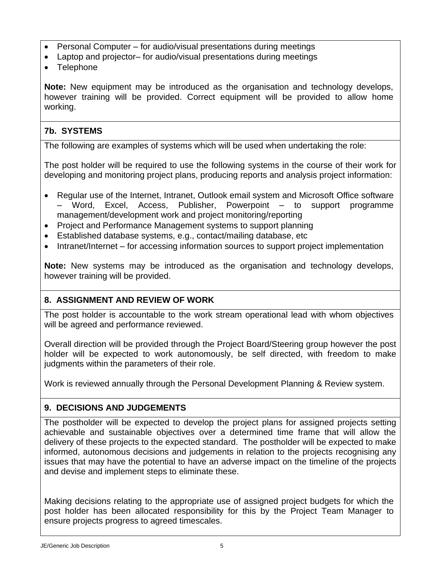- Personal Computer for audio/visual presentations during meetings
- Laptop and projector– for audio/visual presentations during meetings
- Telephone

**Note:** New equipment may be introduced as the organisation and technology develops, however training will be provided. Correct equipment will be provided to allow home working.

# **7b. SYSTEMS**

The following are examples of systems which will be used when undertaking the role:

The post holder will be required to use the following systems in the course of their work for developing and monitoring project plans, producing reports and analysis project information:

- Regular use of the Internet, Intranet, Outlook email system and Microsoft Office software – Word, Excel, Access, Publisher, Powerpoint – to support programme management/development work and project monitoring/reporting
- Project and Performance Management systems to support planning
- Established database systems, e.g., contact/mailing database, etc
- Intranet/Internet for accessing information sources to support project implementation

**Note:** New systems may be introduced as the organisation and technology develops, however training will be provided.

# **8. ASSIGNMENT AND REVIEW OF WORK**

The post holder is accountable to the work stream operational lead with whom objectives will be agreed and performance reviewed.

Overall direction will be provided through the Project Board/Steering group however the post holder will be expected to work autonomously, be self directed, with freedom to make judgments within the parameters of their role.

Work is reviewed annually through the Personal Development Planning & Review system.

# **9. DECISIONS AND JUDGEMENTS**

The postholder will be expected to develop the project plans for assigned projects setting achievable and sustainable objectives over a determined time frame that will allow the delivery of these projects to the expected standard. The postholder will be expected to make informed, autonomous decisions and judgements in relation to the projects recognising any issues that may have the potential to have an adverse impact on the timeline of the projects and devise and implement steps to eliminate these.

Making decisions relating to the appropriate use of assigned project budgets for which the post holder has been allocated responsibility for this by the Project Team Manager to ensure projects progress to agreed timescales.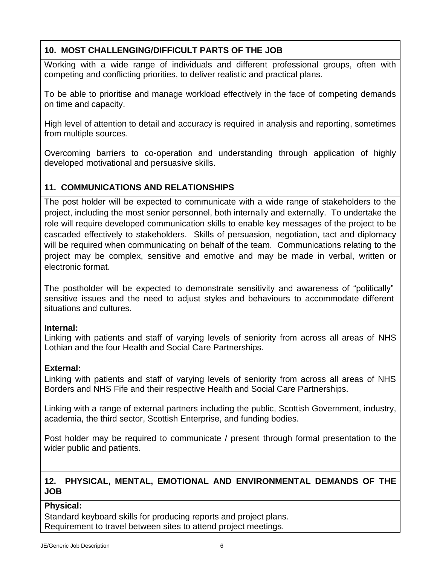# **10. MOST CHALLENGING/DIFFICULT PARTS OF THE JOB**

Working with a wide range of individuals and different professional groups, often with competing and conflicting priorities, to deliver realistic and practical plans.

To be able to prioritise and manage workload effectively in the face of competing demands on time and capacity.

High level of attention to detail and accuracy is required in analysis and reporting, sometimes from multiple sources.

Overcoming barriers to co-operation and understanding through application of highly developed motivational and persuasive skills.

### **11. COMMUNICATIONS AND RELATIONSHIPS**

The post holder will be expected to communicate with a wide range of stakeholders to the project, including the most senior personnel, both internally and externally. To undertake the role will require developed communication skills to enable key messages of the project to be cascaded effectively to stakeholders. Skills of persuasion, negotiation, tact and diplomacy will be required when communicating on behalf of the team. Communications relating to the project may be complex, sensitive and emotive and may be made in verbal, written or electronic format.

The postholder will be expected to demonstrate sensitivity and awareness of "politically" sensitive issues and the need to adjust styles and behaviours to accommodate different situations and cultures.

#### **Internal:**

Linking with patients and staff of varying levels of seniority from across all areas of NHS Lothian and the four Health and Social Care Partnerships.

#### **External:**

Linking with patients and staff of varying levels of seniority from across all areas of NHS Borders and NHS Fife and their respective Health and Social Care Partnerships.

Linking with a range of external partners including the public, Scottish Government, industry, academia, the third sector, Scottish Enterprise, and funding bodies.

Post holder may be required to communicate / present through formal presentation to the wider public and patients.

### **12. PHYSICAL, MENTAL, EMOTIONAL AND ENVIRONMENTAL DEMANDS OF THE JOB**

#### **Physical:**

Standard keyboard skills for producing reports and project plans. Requirement to travel between sites to attend project meetings.